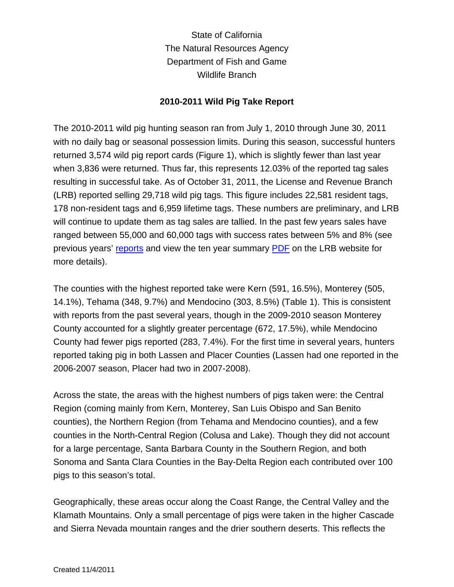State of California The Natural Resources Agency Department of Fish and Game Wildlife Branch

## **2010-2011 Wild Pig Take Report**

The 2010-2011 wild pig hunting season ran from July 1, 2010 through June 30, 2011 with no daily bag or seasonal possession limits. During this season, successful hunters returned 3,574 wild pig report cards (Figure 1), which is slightly fewer than last year when 3,836 were returned. Thus far, this represents 12.03% of the reported tag sales resulting in successful take. As of October 31, 2011, the License and Revenue Branch (LRB) reported selling 29,718 wild pig tags. This figure includes 22,581 resident tags, 178 non-resident tags and 6,959 lifetime tags. These numbers are preliminary, and LRB will continue to update them as tag sales are tallied. In the past few years sales have ranged between 55,000 and 60,000 tags with success rates between 5% and 8% (see previous years' [reports](http://www.dfg.ca.gov/wildlife/hunting/pig/takeindex.html) and view the ten year summary [PDF](http://www.dfg.ca.gov/licensing/pdffiles/h_items_10yr.pdf) on the LRB website for more details).

The counties with the highest reported take were Kern (591, 16.5%), Monterey (505, 14.1%), Tehama (348, 9.7%) and Mendocino (303, 8.5%) (Table 1). This is consistent with reports from the past several years, though in the 2009-2010 season Monterey County accounted for a slightly greater percentage (672, 17.5%), while Mendocino County had fewer pigs reported (283, 7.4%). For the first time in several years, hunters reported taking pig in both Lassen and Placer Counties (Lassen had one reported in the 2006-2007 season, Placer had two in 2007-2008).

Across the state, the areas with the highest numbers of pigs taken were: the Central Region (coming mainly from Kern, Monterey, San Luis Obispo and San Benito counties), the Northern Region (from Tehama and Mendocino counties), and a few counties in the North-Central Region (Colusa and Lake). Though they did not account for a large percentage, Santa Barbara County in the Southern Region, and both Sonoma and Santa Clara Counties in the Bay-Delta Region each contributed over 100 pigs to this season's total.

Geographically, these areas occur along the Coast Range, the Central Valley and the Klamath Mountains. Only a small percentage of pigs were taken in the higher Cascade and Sierra Nevada mountain ranges and the drier southern deserts. This reflects the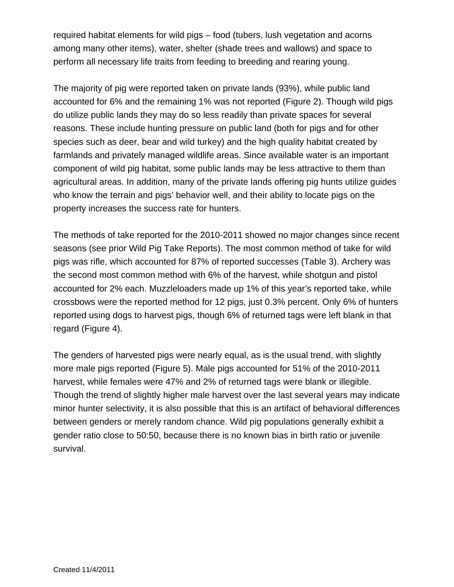required habitat elements for wild pigs – food (tubers, lush vegetation and acorns among many other items), water, shelter (shade trees and wallows) and space to perform all necessary life traits from feeding to breeding and rearing young.

The majority of pig were reported taken on private lands (93%), while public land accounted for 6% and the remaining 1% was not reported (Figure 2). Though wild pigs do utilize public lands they may do so less readily than private spaces for several reasons. These include hunting pressure on public land (both for pigs and for other species such as deer, bear and wild turkey) and the high quality habitat created by farmlands and privately managed wildlife areas. Since available water is an important component of wild pig habitat, some public lands may be less attractive to them than agricultural areas. In addition, many of the private lands offering pig hunts utilize guides who know the terrain and pigs' behavior well, and their ability to locate pigs on the property increases the success rate for hunters.

The methods of take reported for the 2010-2011 showed no major changes since recent seasons (see prior Wild Pig Take Reports). The most common method of take for wild pigs was rifle, which accounted for 87% of reported successes (Table 3). Archery was the second most common method with 6% of the harvest, while shotgun and pistol accounted for 2% each. Muzzleloaders made up 1% of this year's reported take, while crossbows were the reported method for 12 pigs, just 0.3% percent. Only 6% of hunters reported using dogs to harvest pigs, though 6% of returned tags were left blank in that regard (Figure 4).

The genders of harvested pigs were nearly equal, as is the usual trend, with slightly more male pigs reported (Figure 5). Male pigs accounted for 51% of the 2010-2011 harvest, while females were 47% and 2% of returned tags were blank or illegible. Though the trend of slightly higher male harvest over the last several years may indicate minor hunter selectivity, it is also possible that this is an artifact of behavioral differences between genders or merely random chance. Wild pig populations generally exhibit a gender ratio close to 50:50, because there is no known bias in birth ratio or juvenile survival.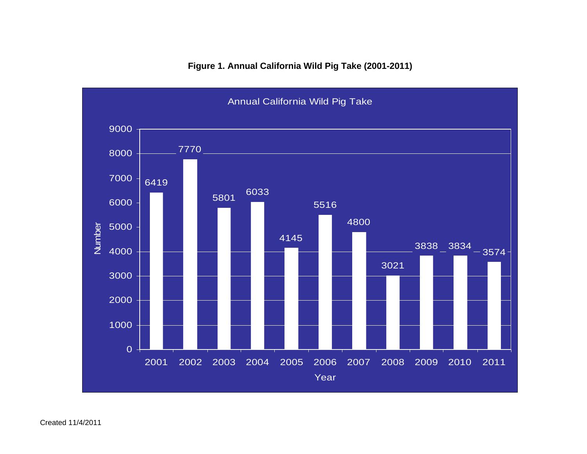

## **Figure 1. Annual California Wild Pig Take (2001-2011)**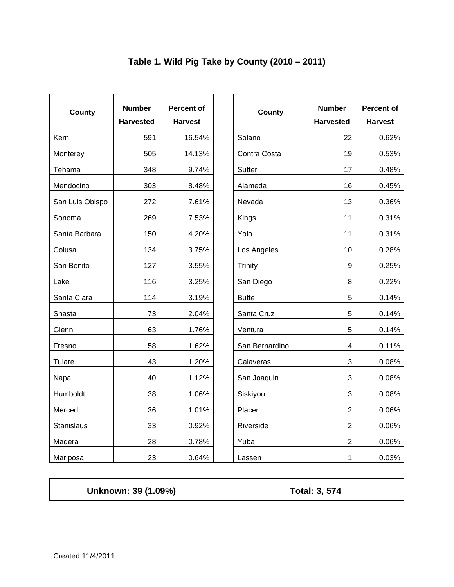|                 |                                   | <b>Percent of</b><br><b>Harvest</b> |                |                  | <b>Percent of</b> |
|-----------------|-----------------------------------|-------------------------------------|----------------|------------------|-------------------|
| County          | <b>Number</b><br><b>Harvested</b> |                                     | County         | <b>Number</b>    |                   |
|                 |                                   |                                     |                | <b>Harvested</b> | <b>Harvest</b>    |
| Kern            | 591                               | 16.54%                              | Solano         | 22               |                   |
| Monterey        | 505                               | 14.13%                              | Contra Costa   | 19               |                   |
| Tehama          | 348                               | 9.74%                               | Sutter         | 17               |                   |
| Mendocino       | 303                               | 8.48%                               | Alameda        | 16               |                   |
| San Luis Obispo | 272                               | 7.61%                               | Nevada         | 13               |                   |
| Sonoma          | 269                               | 7.53%                               | Kings          | 11               |                   |
| Santa Barbara   | 150                               | 4.20%                               | Yolo           | 11               |                   |
| Colusa          | 134                               | 3.75%                               | Los Angeles    | 10               |                   |
| San Benito      | 127                               | 3.55%                               | Trinity        | $\boldsymbol{9}$ |                   |
| Lake            | 116                               | 3.25%                               | San Diego      | 8                |                   |
| Santa Clara     | 114                               | 3.19%                               | <b>Butte</b>   | 5                |                   |
| Shasta          | 73                                | 2.04%                               | Santa Cruz     | 5                |                   |
| Glenn           | 63                                | 1.76%                               | Ventura        | $\sqrt{5}$       |                   |
| Fresno          | 58                                | 1.62%                               | San Bernardino | $\overline{4}$   |                   |
| Tulare          | 43                                | 1.20%                               | Calaveras      | 3                |                   |
| Napa            | 40                                | 1.12%                               | San Joaquin    | 3                |                   |
| Humboldt        | 38                                | 1.06%                               | Siskiyou       | 3                |                   |
| Merced          | 36                                | 1.01%                               | Placer         | $\overline{2}$   |                   |
| Stanislaus      | 33                                | 0.92%                               | Riverside      | $\overline{2}$   |                   |
| Madera          | 28                                | 0.78%                               | Yuba           | $\overline{2}$   |                   |
| Mariposa        | 23                                | 0.64%                               | Lassen         | $\mathbf{1}$     |                   |

## **Table 1. Wild Pig Take by County (2010 – 2011)**

**Unknown: 39 (1.09%) Total: 3, 574**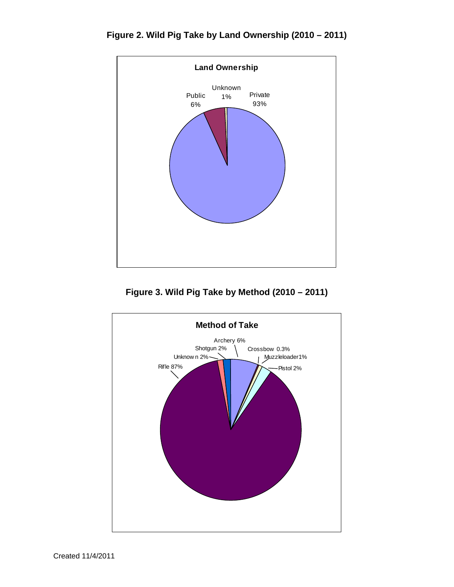**Figure 2. Wild Pig Take by Land Ownership (2010 – 2011)**



**Figure 3. Wild Pig Take by Method (2010 – 2011)**